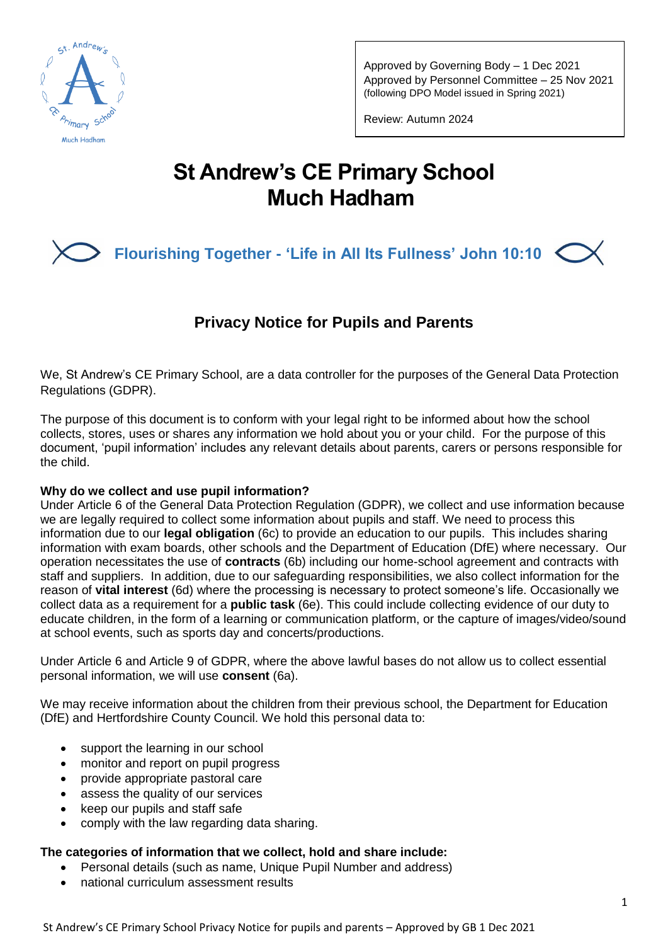

Approved by Governing Body – 1 Dec 2021 Approved by Personnel Committee – 25 Nov 2021 (following DPO Model issued in Spring 2021)

Review: Autumn 2024

# **St Andrew's CE Primary School Much Hadham**

## **Flourishing Together - 'Life in All Its Fullness' John 10:10**

## **Privacy Notice for Pupils and Parents**

We, St Andrew's CE Primary School, are a data controller for the purposes of the General Data Protection Regulations (GDPR).

The purpose of this document is to conform with your legal right to be informed about how the school collects, stores, uses or shares any information we hold about you or your child. For the purpose of this document, 'pupil information' includes any relevant details about parents, carers or persons responsible for the child.

## **Why do we collect and use pupil information?**

Under Article 6 of the General Data Protection Regulation (GDPR), we collect and use information because we are legally required to collect some information about pupils and staff. We need to process this information due to our **legal obligation** (6c) to provide an education to our pupils. This includes sharing information with exam boards, other schools and the Department of Education (DfE) where necessary. Our operation necessitates the use of **contracts** (6b) including our home-school agreement and contracts with staff and suppliers. In addition, due to our safeguarding responsibilities, we also collect information for the reason of **vital interest** (6d) where the processing is necessary to protect someone's life. Occasionally we collect data as a requirement for a **public task** (6e). This could include collecting evidence of our duty to educate children, in the form of a learning or communication platform, or the capture of images/video/sound at school events, such as sports day and concerts/productions.

Under Article 6 and Article 9 of GDPR, where the above lawful bases do not allow us to collect essential personal information, we will use **consent** (6a).

We may receive information about the children from their previous school, the Department for Education (DfE) and Hertfordshire County Council. We hold this personal data to:

- support the learning in our school
- monitor and report on pupil progress
- provide appropriate pastoral care
- assess the quality of our services
- keep our pupils and staff safe
- comply with the law regarding data sharing.

## **The categories of information that we collect, hold and share include:**

- Personal details (such as name, Unique Pupil Number and address)
- national curriculum assessment results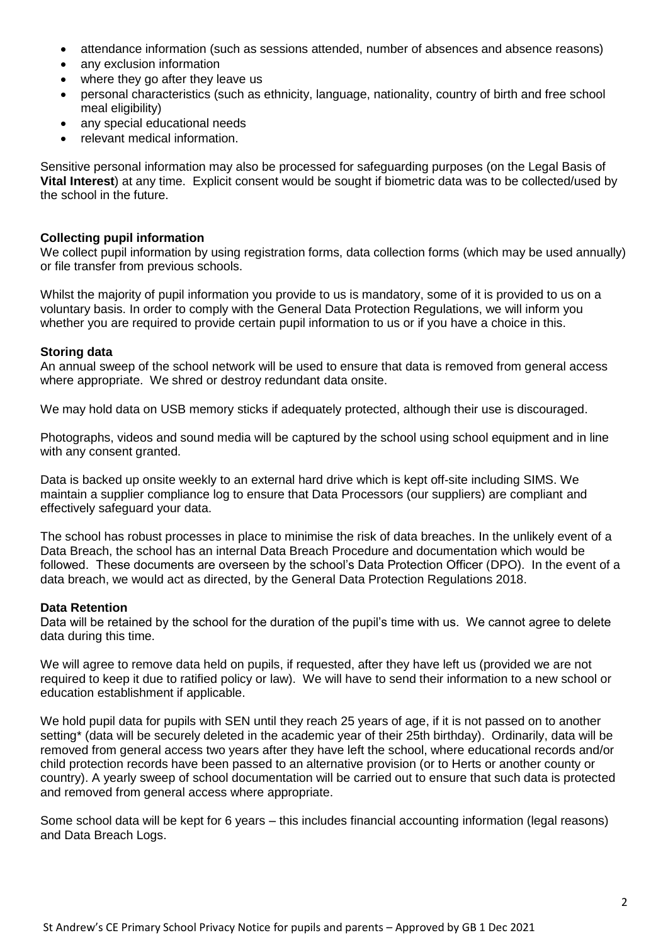- attendance information (such as sessions attended, number of absences and absence reasons)
- any exclusion information
- where they go after they leave us
- personal characteristics (such as ethnicity, language, nationality, country of birth and free school meal eligibility)
- any special educational needs
- relevant medical information.

Sensitive personal information may also be processed for safeguarding purposes (on the Legal Basis of **Vital Interest**) at any time. Explicit consent would be sought if biometric data was to be collected/used by the school in the future.

## **Collecting pupil information**

We collect pupil information by using registration forms, data collection forms (which may be used annually) or file transfer from previous schools.

Whilst the majority of pupil information you provide to us is mandatory, some of it is provided to us on a voluntary basis. In order to comply with the General Data Protection Regulations, we will inform you whether you are required to provide certain pupil information to us or if you have a choice in this.

## **Storing data**

An annual sweep of the school network will be used to ensure that data is removed from general access where appropriate. We shred or destroy redundant data onsite.

We may hold data on USB memory sticks if adequately protected, although their use is discouraged.

Photographs, videos and sound media will be captured by the school using school equipment and in line with any consent granted.

Data is backed up onsite weekly to an external hard drive which is kept off-site including SIMS. We maintain a supplier compliance log to ensure that Data Processors (our suppliers) are compliant and effectively safeguard your data.

The school has robust processes in place to minimise the risk of data breaches. In the unlikely event of a Data Breach, the school has an internal Data Breach Procedure and documentation which would be followed. These documents are overseen by the school's Data Protection Officer (DPO). In the event of a data breach, we would act as directed, by the General Data Protection Regulations 2018.

#### **Data Retention**

Data will be retained by the school for the duration of the pupil's time with us. We cannot agree to delete data during this time.

We will agree to remove data held on pupils, if requested, after they have left us (provided we are not required to keep it due to ratified policy or law). We will have to send their information to a new school or education establishment if applicable.

We hold pupil data for pupils with SEN until they reach 25 years of age, if it is not passed on to another setting\* (data will be securely deleted in the academic year of their 25th birthday). Ordinarily, data will be removed from general access two years after they have left the school, where educational records and/or child protection records have been passed to an alternative provision (or to Herts or another county or country). A yearly sweep of school documentation will be carried out to ensure that such data is protected and removed from general access where appropriate.

Some school data will be kept for 6 years – this includes financial accounting information (legal reasons) and Data Breach Logs.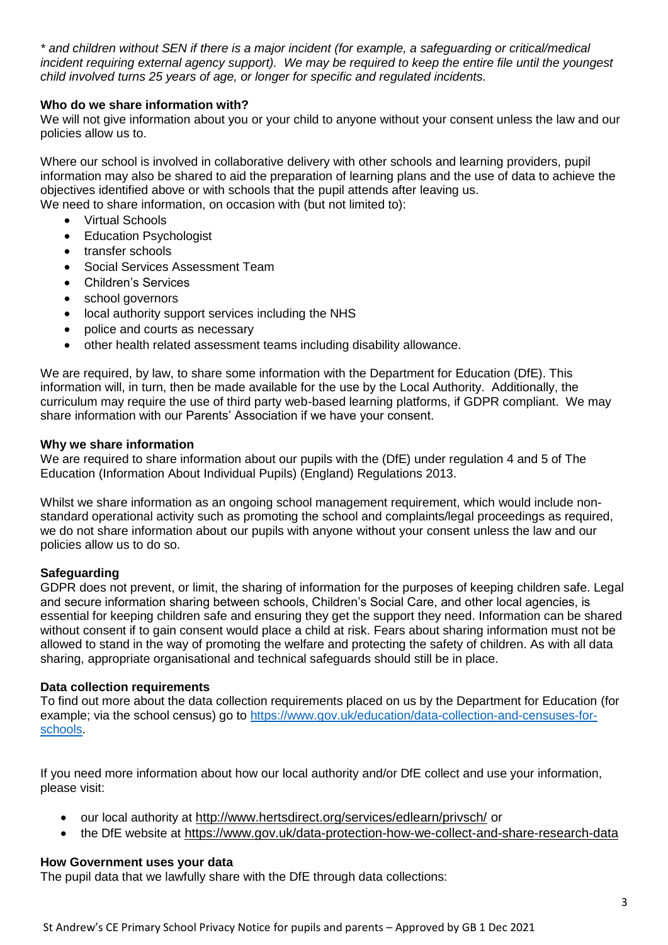*\* and children without SEN if there is a major incident (for example, a safeguarding or critical/medical incident requiring external agency support). We may be required to keep the entire file until the youngest child involved turns 25 years of age, or longer for specific and regulated incidents.*

## **Who do we share information with?**

We will not give information about you or your child to anyone without your consent unless the law and our policies allow us to.

Where our school is involved in collaborative delivery with other schools and learning providers, pupil information may also be shared to aid the preparation of learning plans and the use of data to achieve the objectives identified above or with schools that the pupil attends after leaving us. We need to share information, on occasion with (but not limited to):

- Virtual Schools
- Education Psychologist
- transfer schools
- Social Services Assessment Team
- Children's Services
- school governors
- local authority support services including the NHS
- police and courts as necessary
- other health related assessment teams including disability allowance.

We are required, by law, to share some information with the Department for Education (DfE). This information will, in turn, then be made available for the use by the Local Authority. Additionally, the curriculum may require the use of third party web-based learning platforms, if GDPR compliant. We may share information with our Parents' Association if we have your consent.

## **Why we share information**

We are required to share information about our pupils with the (DfE) under regulation 4 and 5 of The Education (Information About Individual Pupils) (England) Regulations 2013.

Whilst we share information as an ongoing school management requirement, which would include nonstandard operational activity such as promoting the school and complaints/legal proceedings as required, we do not share information about our pupils with anyone without your consent unless the law and our policies allow us to do so.

## **Safeguarding**

GDPR does not prevent, or limit, the sharing of information for the purposes of keeping children safe. Legal and secure information sharing between schools, Children's Social Care, and other local agencies, is essential for keeping children safe and ensuring they get the support they need. Information can be shared without consent if to gain consent would place a child at risk. Fears about sharing information must not be allowed to stand in the way of promoting the welfare and protecting the safety of children. As with all data sharing, appropriate organisational and technical safeguards should still be in place.

## **Data collection requirements**

To find out more about the data collection requirements placed on us by the Department for Education (for example; via the school census) go to [https://www.gov.uk/education/data-collection-and-censuses-for](https://www.gov.uk/education/data-collection-and-censuses-for-schools)[schools.](https://www.gov.uk/education/data-collection-and-censuses-for-schools)

If you need more information about how our local authority and/or DfE collect and use your information, please visit:

- our local authority at <http://www.hertsdirect.org/services/edlearn/privsch/> or
- the DfE website at <https://www.gov.uk/data-protection-how-we-collect-and-share-research-data>

## **How Government uses your data**

The pupil data that we lawfully share with the DfE through data collections: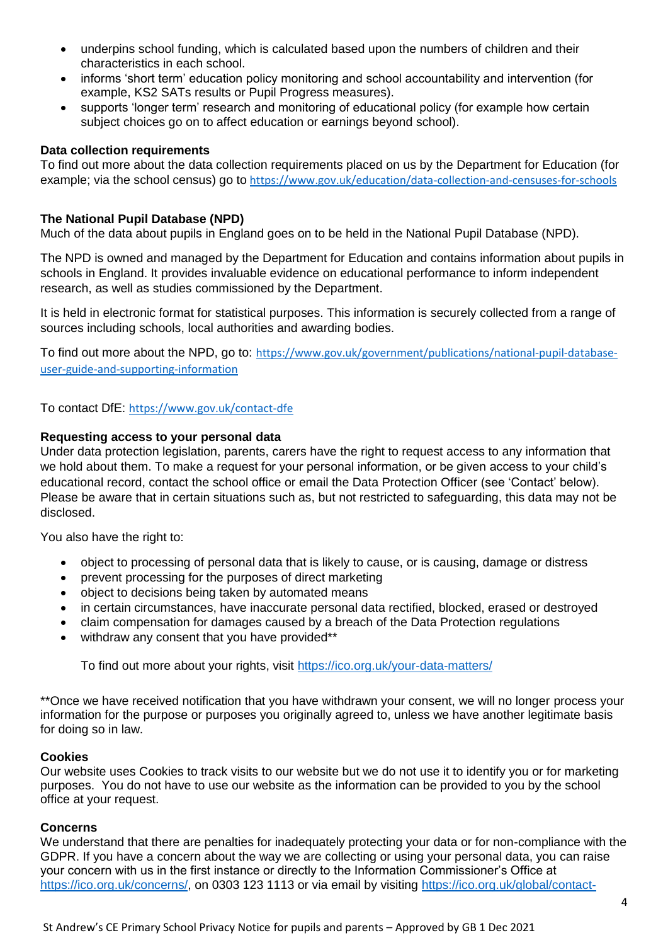- underpins school funding, which is calculated based upon the numbers of children and their characteristics in each school.
- informs 'short term' education policy monitoring and school accountability and intervention (for example, KS2 SATs results or Pupil Progress measures).
- supports 'longer term' research and monitoring of educational policy (for example how certain subject choices go on to affect education or earnings beyond school).

## **Data collection requirements**

To find out more about the data collection requirements placed on us by the Department for Education (for example; via the school census) go to <https://www.gov.uk/education/data-collection-and-censuses-for-schools>

## **The National Pupil Database (NPD)**

Much of the data about pupils in England goes on to be held in the National Pupil Database (NPD).

The NPD is owned and managed by the Department for Education and contains information about pupils in schools in England. It provides invaluable evidence on educational performance to inform independent research, as well as studies commissioned by the Department.

It is held in electronic format for statistical purposes. This information is securely collected from a range of sources including schools, local authorities and awarding bodies.

To find out more about the NPD, go to: [https://www.gov.uk/government/publications/national-pupil-database](https://www.gov.uk/government/publications/national-pupil-database-user-guide-and-supporting-information)[user-guide-and-supporting-information](https://www.gov.uk/government/publications/national-pupil-database-user-guide-and-supporting-information)

To contact DfE: <https://www.gov.uk/contact-dfe>

## **Requesting access to your personal data**

Under data protection legislation, parents, carers have the right to request access to any information that we hold about them. To make a request for your personal information, or be given access to your child's educational record, contact the school office or email the Data Protection Officer (see 'Contact' below). Please be aware that in certain situations such as, but not restricted to safeguarding, this data may not be disclosed.

You also have the right to:

- object to processing of personal data that is likely to cause, or is causing, damage or distress
- prevent processing for the purposes of direct marketing
- object to decisions being taken by automated means
- in certain circumstances, have inaccurate personal data rectified, blocked, erased or destroyed
- claim compensation for damages caused by a breach of the Data Protection regulations
- withdraw any consent that you have provided\*\*

To find out more about your rights, visit<https://ico.org.uk/your-data-matters/>

\*\*Once we have received notification that you have withdrawn your consent, we will no longer process your information for the purpose or purposes you originally agreed to, unless we have another legitimate basis for doing so in law.

#### **Cookies**

Our website uses Cookies to track visits to our website but we do not use it to identify you or for marketing purposes. You do not have to use our website as the information can be provided to you by the school office at your request.

#### **Concerns**

We understand that there are penalties for inadequately protecting your data or for non-compliance with the GDPR. If you have a concern about the way we are collecting or using your personal data, you can raise your concern with us in the first instance or directly to the Information Commissioner's Office at [https://ico.org.uk/concerns/,](https://ico.org.uk/concerns/) on 0303 123 1113 or via email by visiting [https://ico.org.uk/global/contact-](https://ico.org.uk/global/contact-us/email/)